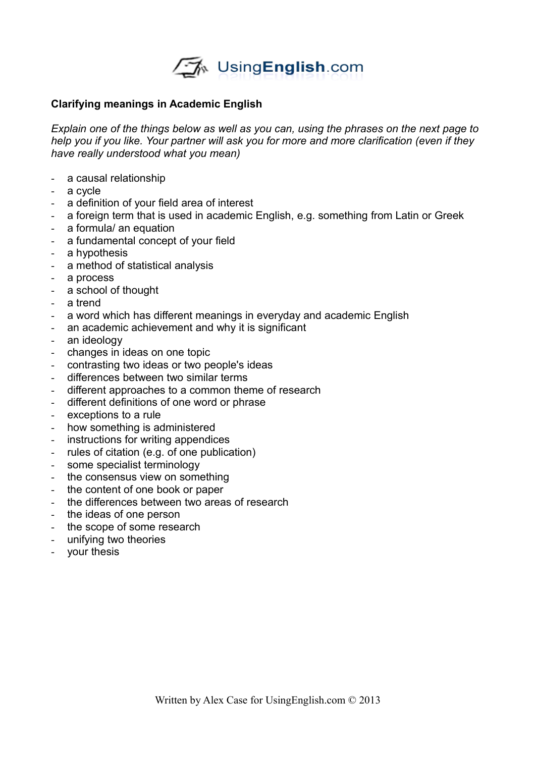

## **Clarifying meanings in Academic English**

*Explain one of the things below as well as you can, using the phrases on the next page to help you if you like. Your partner will ask you for more and more clarification (even if they have really understood what you mean)*

- a causal relationship
- a cycle
- a definition of your field area of interest
- a foreign term that is used in academic English, e.g. something from Latin or Greek
- a formula/ an equation
- a fundamental concept of your field
- a hypothesis
- a method of statistical analysis
- a process
- a school of thought
- a trend
- a word which has different meanings in everyday and academic English
- an academic achievement and why it is significant
- an ideology
- changes in ideas on one topic
- contrasting two ideas or two people's ideas
- differences between two similar terms
- different approaches to a common theme of research
- different definitions of one word or phrase
- exceptions to a rule
- how something is administered
- instructions for writing appendices
- rules of citation (e.g. of one publication)
- some specialist terminology
- the consensus view on something
- the content of one book or paper
- the differences between two areas of research
- the ideas of one person
- the scope of some research
- unifying two theories
- your thesis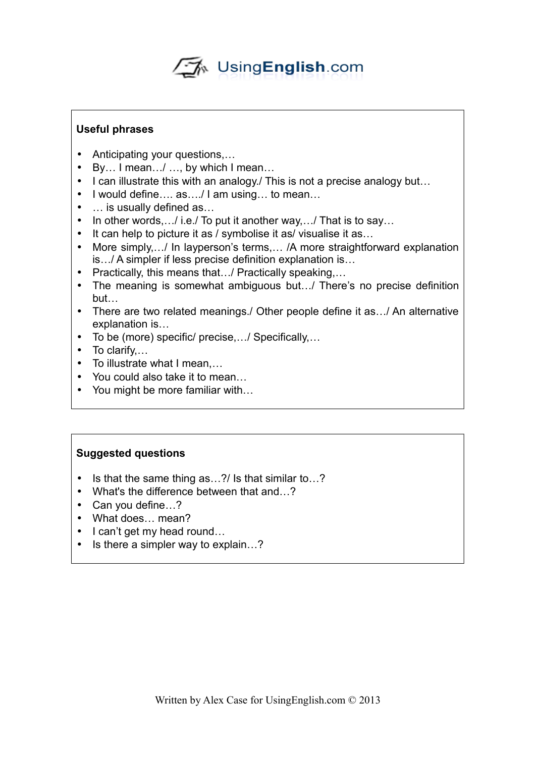√A UsingEnglish.com

## **Useful phrases**

- Anticipating your questions....
- By… I mean…/ …, by which I mean…
- I can illustrate this with an analogy. This is not a precise analogy but...
- I would define…. as…./ I am using… to mean…
- … is usually defined as…
- In other words, ... / i.e. / To put it another way, ... / That is to say...
- It can help to picture it as / symbolise it as/ visualise it as...
- More simply,  $\ldots$ / In layperson's terms,  $\ldots$  /A more straightforward explanation is…/ A simpler if less precise definition explanation is…
- Practically, this means that.../ Practically speaking,...
- The meaning is somewhat ambiguous but…/ There's no precise definition but…
- There are two related meanings./ Other people define it as.../ An alternative explanation is…
- To be (more) specific/ precise,…/ Specifically,…
- To clarify...
- To illustrate what I mean,…
- You could also take it to mean…
- You might be more familiar with...

## **Suggested questions**

- Is that the same thing as...?/ Is that similar to...?
- What's the difference between that and...?
- Can you define...?
- What does… mean?
- I can't get my head round...
- Is there a simpler way to explain...?